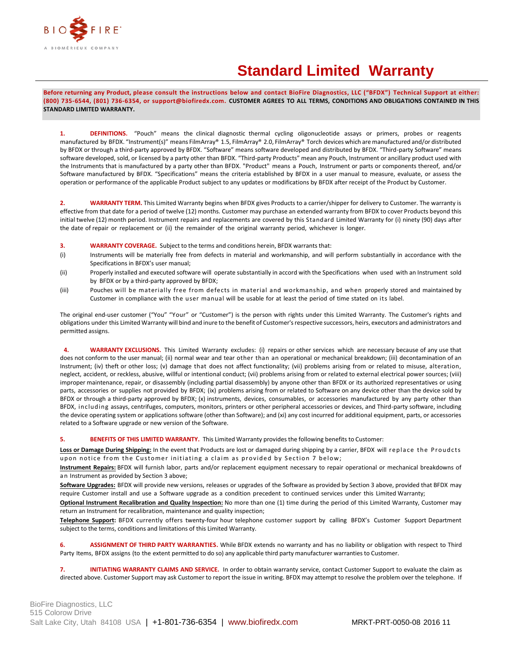

## **Standard Limited Warranty**

**Before returning any Product, please consult the instructions below and contact BioFire Diagnostics, LLC ("BFDX") Technical Support at either: (800) 735-6544, (801) 736-6354, or support@biofiredx.com. CUSTOMER AGREES TO ALL TERMS, CONDITIONS AND OBLIGATIONS CONTAINED IN THIS STANDARD LIMITED WARRANTY.**

**1. DEFINITIONS.** "Pouch" means the clinical diagnostic thermal cycling oligonucleotide assays or primers, probes or reagents manufactured by BFDX. "Instrument(s)" means FilmArray® 1.5, FilmArray® 2.0, FilmArray® Torch devices which are manufactured and/or distributed by BFDX or through a third-party approved by BFDX. "Software" means software developed and distributed by BFDX. "Third-party Software" means software developed, sold, or licensed by a party other than BFDX. "Third-party Products" mean any Pouch, Instrument or ancillary product used with the Instruments that is manufactured by a party other than BFDX. "Product" means a Pouch, Instrument or parts or components thereof, and/or Software manufactured by BFDX. "Specifications" means the criteria established by BFDX in a user manual to measure, evaluate, or assess the operation or performance of the applicable Product subject to any updates or modifications by BFDX after receipt of the Product by Customer.

**2. WARRANTY TERM.** This Limited Warranty begins when BFDX gives Products to a carrier/shipper for delivery to Customer. The warranty is effective from that date for a period of twelve (12) months. Customer may purchase an extended warranty from BFDX to cover Products beyond this initial twelve (12) month period. Instrument repairs and replacements are covered by this Standard Limited Warranty for (i) ninety (90) days after the date of repair or replacement or (ii) the remainder of the original warranty period, whichever is longer.

- **3. WARRANTY COVERAGE.** Subject to the terms and conditions herein, BFDX warrants that:
- (i) Instruments will be materially free from defects in material and workmanship, and will perform substantially in accordance with the Specifications in BFDX's user manual;
- (ii) Properly installed and executed software will operate substantially in accord with the Specifications when used with an Instrument sold by BFDX or by a third-party approved by BFDX;
- (iii) Pouches will be materially free from defects in material and workmanship, and when properly stored and maintained by Customer in compliance with the user manual will be usable for at least the period of time stated on its label.

The original end-user customer ("You" "Your" or "Customer") is the person with rights under this Limited Warranty. The Customer's rights and obligations under this Limited Warranty will bind and inure to the benefit of Customer'srespective successors, heirs, executors and administrators and permitted assigns.

**4. WARRANTY EXCLUSIONS.** This Limited Warranty excludes: (i) repairs or other services which are necessary because of any use that does not conform to the user manual; (ii) normal wear and tear other than an operational or mechanical breakdown; (iii) decontamination of an Instrument; (iv) theft or other loss; (v) damage that does not affect functionality; (vii) problems arising from or related to misuse, alteration, neglect, accident, or reckless, abusive, willful or intentional conduct; (vii) problems arising from or related to external electrical power sources; (viii) improper maintenance, repair, or disassembly (including partial disassembly) by anyone other than BFDX or its authorized representatives or using parts, accessories or supplies not provided by BFDX; (ix) problems arising from or related to Software on any device other than the device sold by BFDX or through a third-party approved by BFDX; (x) instruments, devices, consumables, or accessories manufactured by any party other than BFDX, including assays, centrifuges, computers, monitors, printers or other peripheral accessories or devices, and Third-party software, including the device operating system or applications software (other than Software); and (xi) any cost incurred for additional equipment, parts, or accessories related to a Software upgrade or new version of the Software.

**5. BENEFITS OF THIS LIMITED WARRANTY.** This Limited Warranty provides the following benefits to Customer:

Loss or Damage During Shipping: In the event that Products are lost or damaged during shipping by a carrier, BFDX will replace the Proudcts upon notice from the Customer initiating a claim as provided by Section 7 below;

**Instrument Repairs:** BFDX will furnish labor, parts and/or replacement equipment necessary to repair operational or mechanical breakdowns of an Instrument as provided by Section 3 above;

**Software Upgrades:** BFDX will provide new versions, releases or upgrades of the Software as provided by Section 3 above, provided that BFDX may require Customer install and use a Software upgrade as a condition precedent to continued services under this Limited Warranty;

**Optional Instrument Recalibration and Quality Inspection:** No more than one (1) time during the period of this Limited Warranty, Customer may return an Instrument for recalibration, maintenance and quality inspection;

**Telephone Support:** BFDX currently offers twenty-four hour telephone customer support by calling BFDX's Customer Support Department subject to the terms, conditions and limitations of this Limited Warranty.

**6. ASSIGNMENT OF THIRD PARTY WARRANTIES.** While BFDX extends no warranty and has no liability or obligation with respect to Third Party Items, BFDX assigns (to the extent permitted to do so) any applicable third party manufacturer warranties to Customer.

**7. INITIATING WARRANTY CLAIMS AND SERVICE.** In order to obtain warranty service, contact Customer Support to evaluate the claim as directed above. Customer Support may ask Customer to report the issue in writing. BFDX may attempt to resolve the problem over the telephone. If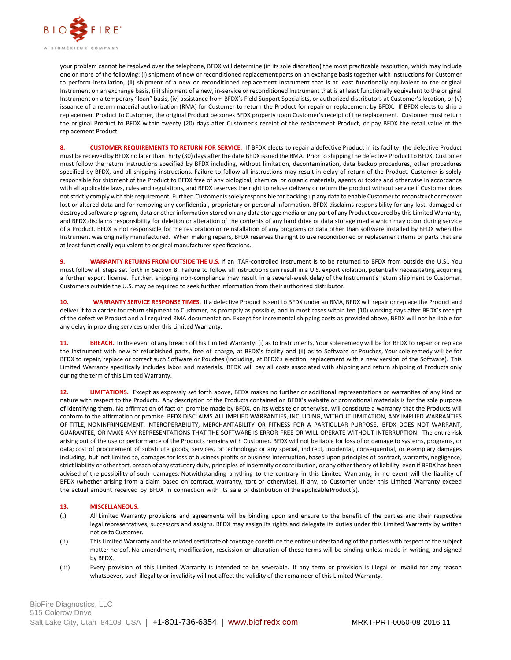

your problem cannot be resolved over the telephone, BFDX will determine (in its sole discretion) the most practicable resolution, which may include one or more of the following: (i) shipment of new or reconditioned replacement parts on an exchange basis together with instructions for Customer to perform installation, (ii) shipment of a new or reconditioned replacement Instrument that is at least functionally equivalent to the original Instrument on an exchange basis, (iii) shipment of a new, in-service or reconditioned Instrument that is at least functionally equivalent to the original Instrument on a temporary "loan" basis, (iv) assistance from BFDX's Field Support Specialists, or authorized distributors at Customer's location, or (v) issuance of a return material authorization (RMA) for Customer to return the Product for repair or replacement by BFDX. If BFDX elects to ship a replacement Product to Customer, the original Product becomes BFDX property upon Customer's receipt of the replacement. Customer must return the original Product to BFDX within twenty (20) days after Customer's receipt of the replacement Product, or pay BFDX the retail value of the replacement Product.

**8. CUSTOMER REQUIREMENTS TO RETURN FOR SERVICE.** If BFDX elects to repair a defective Product in its facility, the defective Product must be received by BFDX no later than thirty (30) days after the date BFDX issued the RMA. Prior to shipping the defective Product to BFDX, Customer must follow the return instructions specified by BFDX including, without limitation, decontamination, data backup procedures, other procedures specified by BFDX, and all shipping instructions. Failure to follow all instructions may result in delay of return of the Product. Customer is solely responsible for shipment of the Product to BFDX free of any biological, chemical or organic materials, agents or toxins and otherwise in accordance with all applicable laws, rules and regulations, and BFDX reserves the right to refuse delivery or return the product without service if Customer does not strictly comply with this requirement. Further, Customer is solely responsible for backing up any data to enable Customer to reconstruct or recover lost or altered data and for removing any confidential, proprietary or personal information. BFDX disclaims responsibility for any lost, damaged or destroyed software program, data or other information stored on any data storage media or any part of any Product covered by this Limited Warranty, and BFDX disclaims responsibility for deletion or alteration of the contents of any hard drive or data storage media which may occur during service of a Product. BFDX is not responsible for the restoration or reinstallation of any programs or data other than software installed by BFDX when the Instrument was originally manufactured. When making repairs, BFDX reserves the right to use reconditioned or replacement items or parts that are at least functionally equivalent to original manufacturer specifications.

**9. WARRANTY RETURNS FROM OUTSIDE THE U.S.** If an ITAR-controlled Instrument is to be returned to BFDX from outside the U.S., You must follow all steps set forth in Section 8. Failure to follow all instructions can result in a U.S. export violation, potentially necessitating acquiring a further export license. Further, shipping non-compliance may result in a several-week delay of the Instrument's return shipment to Customer. Customers outside the U.S. may be required to seek further information from their authorized distributor.

**10. WARRANTY SERVICE RESPONSE TIMES.** If a defective Product is sent to BFDX under an RMA, BFDX will repair or replace the Product and deliver it to a carrier for return shipment to Customer, as promptly as possible, and in most cases within ten (10) working days after BFDX's receipt of the defective Product and all required RMA documentation. Except for incremental shipping costs as provided above, BFDX will not be liable for any delay in providing services under this Limited Warranty.

**11. BREACH.** In the event of any breach of this Limited Warranty: (i) as to Instruments, Your sole remedy will be for BFDX to repair or replace the Instrument with new or refurbished parts, free of charge, at BFDX's facility and (ii) as to Software or Pouches, Your sole remedy will be for BFDX to repair, replace or correct such Software or Pouches (including, at BFDX's election, replacement with a new version of the Software). This Limited Warranty specifically includes labor and materials. BFDX will pay all costs associated with shipping and return shipping of Products only during the term of this Limited Warranty.

**12. LIMITATIONS.** Except as expressly set forth above, BFDX makes no further or additional representations or warranties of any kind or nature with respect to the Products. Any description of the Products contained on BFDX's website or promotional materials is for the sole purpose of identifying them. No affirmation of fact or promise made by BFDX, on its website or otherwise, will constitute a warranty that the Products will conform to the affirmation or promise. BFDX DISCLAIMS ALL IMPLIED WARRANTIES, INCLUDING, WITHOUT LIMITATION, ANY IMPLIED WARRANTIES OF TITLE, NONINFRINGEMENT, INTEROPERABILITY, MERCHANTABILITY OR FITNESS FOR A PARTICULAR PURPOSE. BFDX DOES NOT WARRANT, GUARANTEE, OR MAKE ANY REPRESENTATIONS THAT THE SOFTWARE IS ERROR-FREE OR WILL OPERATE WITHOUT INTERRUPTION. The entire risk arising out of the use or performance of the Products remains with Customer. BFDX will not be liable for loss of or damage to systems, programs, or data; cost of procurement of substitute goods, services, or technology; or any special, indirect, incidental, consequential, or exemplary damages including, but not limited to, damages for loss of business profits or business interruption, based upon principles of contract, warranty, negligence, strict liability or other tort, breach of any statutory duty, principles of indemnity or contribution, or any other theory of liability, even if BFDX has been advised of the possibility of such damages. Notwithstanding anything to the contrary in this Limited Warranty, in no event will the liability of BFDX (whether arising from a claim based on contract, warranty, tort or otherwise), if any, to Customer under this Limited Warranty exceed the actual amount received by BFDX in connection with its sale or distribution of the applicableProduct(s).

## **13. MISCELLANEOUS.**

- (i) All Limited Warranty provisions and agreements will be binding upon and ensure to the benefit of the parties and their respective legal representatives, successors and assigns. BFDX may assign its rights and delegate its duties under this Limited Warranty by written notice to Customer.
- (ii) This Limited Warranty and the related certificate of coverage constitute the entire understanding of the parties with respect to the subject matter hereof. No amendment, modification, rescission or alteration of these terms will be binding unless made in writing, and signed by BFDX.
- (iii) Every provision of this Limited Warranty is intended to be severable. If any term or provision is illegal or invalid for any reason whatsoever, such illegality or invalidity will not affect the validity of the remainder of this Limited Warranty.